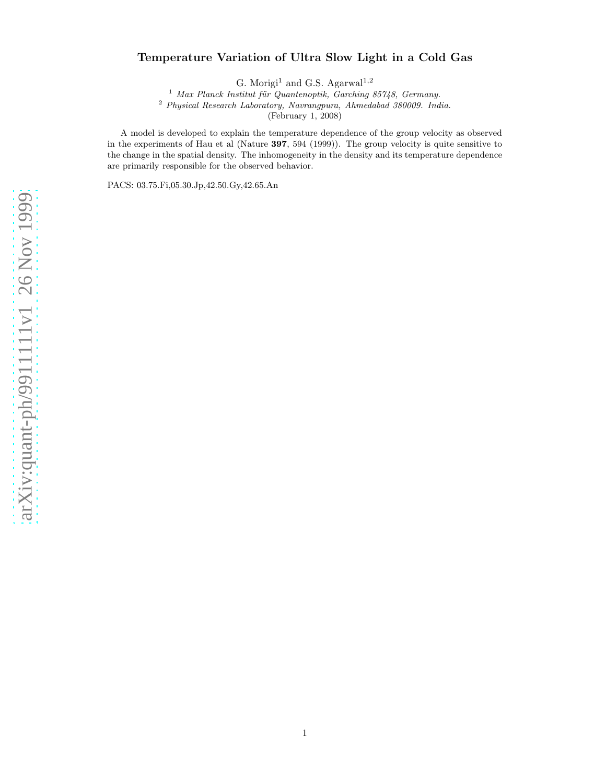# arXiv:quant-ph/9911111v1 26 Nov 1999 [arXiv:quant-ph/9911111v1 26 Nov 1999](http://arXiv.org/abs/quant-ph/9911111v1)

# Temperature Variation of Ultra Slow Light in a Cold Gas

G. Morigi<sup>1</sup> and G.S. Agarwal<sup>1,2</sup>

 $1$  Max Planck Institut für Quantenoptik, Garching 85748, Germany.

<sup>2</sup> Physical Research Laboratory, Navrangpura, Ahmedabad 380009. India.

(February 1, 2008)

A model is developed to explain the temperature dependence of the group velocity as observed in the experiments of Hau et al (Nature 397, 594 (1999)). The group velocity is quite sensitive to the change in the spatial density. The inhomogeneity in the density and its temperature dependence are primarily responsible for the observed behavior.

PACS: 03.75.Fi,05.30.Jp,42.50.Gy,42.65.An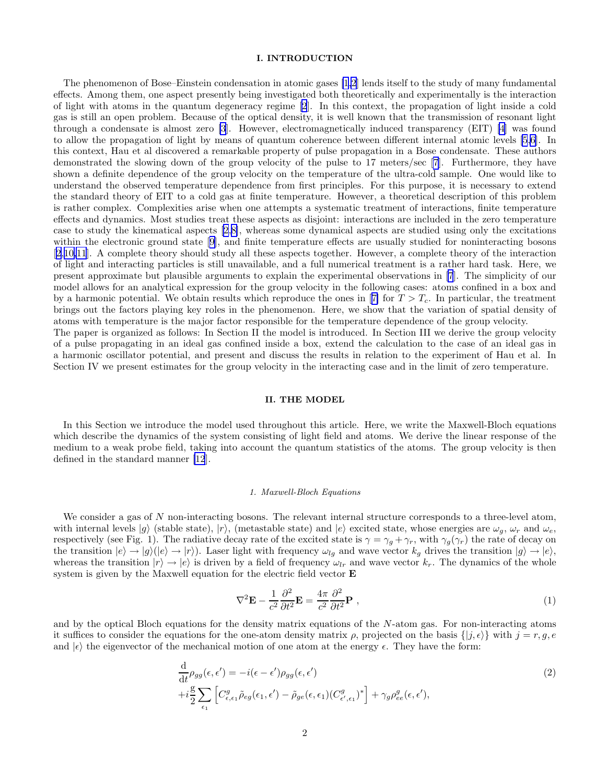# I. INTRODUCTION

<span id="page-1-0"></span>The phenomenon of Bose–Einstein condensation in atomic gases [\[1](#page-10-0)[,2](#page-11-0)] lends itself to the study of many fundamental effects. Among them, one aspect presently being investigated both theoretically and experimentally is the interaction of light with atoms in the quantum degeneracy regime [\[2](#page-11-0)]. In this context, the propagation of light inside a cold gas is still an open problem. Because of the optical density, it is well known that the transmission of resonant light through a condensate is almost zero [\[3](#page-11-0)]. However, electromagnetically induced transparency (EIT) [\[4](#page-11-0)] was found to allow the propagation of light by means of quantum coherence between different internal atomic levels [\[5,6](#page-11-0)]. In this context, Hau et al discovered a remarkable property of pulse propagation in a Bose condensate. These authors demonstrated the slowing down of the group velocity of the pulse to 17 meters/sec [\[7](#page-11-0)]. Furthermore, they have shown a definite dependence of the group velocity on the temperature of the ultra-cold sample. One would like to understand the observed temperature dependence from first principles. For this purpose, it is necessary to extend the standard theory of EIT to a cold gas at finite temperature. However, a theoretical description of this problem is rather complex. Complexities arise when one attempts a systematic treatment of interactions, finite temperature effects and dynamics. Most studies treat these aspects as disjoint: interactions are included in the zero temperature case to study the kinematical aspects [\[2](#page-11-0),[8\]](#page-11-0), whereas some dynamical aspects are studied using only the excitations withinthe electronic ground state [[9\]](#page-11-0), and finite temperature effects are usually studied for noninteracting bosons [[2,10,11](#page-11-0)]. A complete theory should study all these aspects together. However, a complete theory of the interaction of light and interacting particles is still unavailable, and a full numerical treatment is a rather hard task. Here, we present approximate but plausible arguments to explain the experimental observations in [\[7](#page-11-0)]. The simplicity of our model allows for an analytical expression for the group velocity in the following cases: atoms confined in a box and bya harmonic potential. We obtain results which reproduce the ones in [[7\]](#page-11-0) for  $T > T_c$ . In particular, the treatment brings out the factors playing key roles in the phenomenon. Here, we show that the variation of spatial density of atoms with temperature is the major factor responsible for the temperature dependence of the group velocity. The paper is organized as follows: In Section II the model is introduced. In Section III we derive the group velocity

of a pulse propagating in an ideal gas confined inside a box, extend the calculation to the case of an ideal gas in a harmonic oscillator potential, and present and discuss the results in relation to the experiment of Hau et al. In Section IV we present estimates for the group velocity in the interacting case and in the limit of zero temperature.

# II. THE MODEL

In this Section we introduce the model used throughout this article. Here, we write the Maxwell-Bloch equations which describe the dynamics of the system consisting of light field and atoms. We derive the linear response of the medium to a weak probe field, taking into account the quantum statistics of the atoms. The group velocity is then defined in the standard manner [\[12](#page-11-0)].

#### 1. Maxwell-Bloch Equations

We consider a gas of  $N$  non-interacting bosons. The relevant internal structure corresponds to a three-level atom, with internal levels  $|g\rangle$  (stable state),  $|r\rangle$ , (metastable state) and  $|e\rangle$  excited state, whose energies are  $\omega_q$ ,  $\omega_r$  and  $\omega_e$ , respectively (see Fig. 1). The radiative decay rate of the excited state is  $\gamma = \gamma_g + \gamma_r$ , with  $\gamma_g(\gamma_r)$  the rate of decay on the transition  $|e\rangle \rightarrow |g\rangle (|e\rangle \rightarrow |r\rangle)$ . Laser light with frequency  $\omega_{lg}$  and wave vector  $k_g$  drives the transition  $|g\rangle \rightarrow |e\rangle$ , whereas the transition  $|r\rangle \rightarrow |e\rangle$  is driven by a field of frequency  $\omega_{lr}$  and wave vector  $k_r$ . The dynamics of the whole system is given by the Maxwell equation for the electric field vector E

$$
\nabla^2 \mathbf{E} - \frac{1}{c^2} \frac{\partial^2}{\partial t^2} \mathbf{E} = \frac{4\pi}{c^2} \frac{\partial^2}{\partial t^2} \mathbf{P} , \qquad (1)
$$

and by the optical Bloch equations for the density matrix equations of the  $N$ -atom gas. For non-interacting atoms it suffices to consider the equations for the one-atom density matrix  $\rho$ , projected on the basis  $\{|j, \epsilon\rangle\}$  with  $j = r, g, e$ and  $|\epsilon\rangle$  the eigenvector of the mechanical motion of one atom at the energy  $\epsilon$ . They have the form:

$$
\frac{\mathrm{d}}{\mathrm{d}t}\rho_{gg}(\epsilon,\epsilon') = -i(\epsilon - \epsilon')\rho_{gg}(\epsilon,\epsilon')
$$
\n
$$
+i\frac{g}{2}\sum_{\epsilon_1}\left[C_{\epsilon,\epsilon_1}^g\tilde{\rho}_{eg}(\epsilon_1,\epsilon') - \tilde{\rho}_{ge}(\epsilon,\epsilon_1)(C_{\epsilon',\epsilon_1}^g)^*\right] + \gamma_g\rho_{ee}^g(\epsilon,\epsilon'),\tag{2}
$$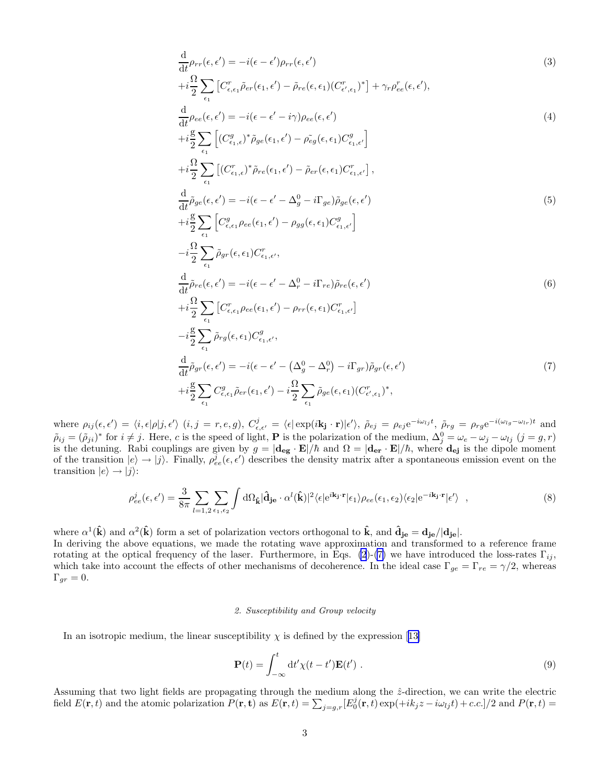<span id="page-2-0"></span>
$$
\frac{\mathrm{d}}{\mathrm{d}t}\rho_{rr}(\epsilon,\epsilon') = -i(\epsilon-\epsilon')\rho_{rr}(\epsilon,\epsilon')\tag{3}
$$
\n
$$
+i\frac{\Omega}{2}\sum_{\epsilon_1} \left[C_{\epsilon,\epsilon_1}^r \tilde{\rho}_{er}(\epsilon_1,\epsilon') - \tilde{\rho}_{re}(\epsilon,\epsilon_1)(C_{\epsilon',\epsilon_1}^{r})^*\right] + \gamma_r \rho_{ee}^r(\epsilon,\epsilon'),
$$
\n
$$
\frac{\mathrm{d}}{\mathrm{d}\rho_{\epsilon_1}(\epsilon,\epsilon')} = -i(\epsilon,\epsilon') - i(\epsilon,\epsilon')\rho_{er}(\epsilon,\epsilon')\tag{4}
$$

$$
\frac{d}{dt}\rho_{ee}(\epsilon,\epsilon') = -i(\epsilon - \epsilon' - i\gamma)\rho_{ee}(\epsilon,\epsilon')\tag{4}
$$
\n
$$
+i\frac{g}{2}\sum_{\epsilon_1} \left[ (C_{\epsilon_1,\epsilon}^g)^* \tilde{\rho}_{ge}(\epsilon_1,\epsilon') - \tilde{\rho}_{eg}(\epsilon,\epsilon_1)C_{\epsilon_1,\epsilon'}^g \right]
$$
\n
$$
+i\frac{\Omega}{2}\sum_{\epsilon_1} \left[ (C_{\epsilon_1,\epsilon}^r)^* \tilde{\rho}_{re}(\epsilon_1,\epsilon') - \tilde{\rho}_{er}(\epsilon,\epsilon_1)C_{\epsilon_1,\epsilon'}^r \right],
$$
\n
$$
\frac{d}{dt}\tilde{\rho}_{ge}(\epsilon,\epsilon') = -i(\epsilon - \epsilon' - \Delta_g^0 - i\Gamma_{ge})\tilde{\rho}_{ge}(\epsilon,\epsilon')
$$
\n
$$
+i\frac{g}{2}\sum_{\epsilon_1} \left[ C_{\epsilon,\epsilon_1}^g \rho_{ee}(\epsilon_1,\epsilon') - \rho_{gg}(\epsilon,\epsilon_1)C_{\epsilon_1,\epsilon'}^g \right]
$$
\n
$$
-i\frac{\Omega}{2}\sum_{\epsilon_1} \tilde{\rho}_{gr}(\epsilon,\epsilon_1)C_{\epsilon_1,\epsilon'}^r,
$$
\n
$$
\frac{d}{dt}\tilde{\rho}_{re}(\epsilon,\epsilon') = -i(\epsilon - \epsilon' - \Delta_r^0 - i\Gamma_{re})\tilde{\rho}_{re}(\epsilon,\epsilon')
$$
\n
$$
+i\frac{\Omega}{2}\sum_{\epsilon_1} \left[ C_{\epsilon,\epsilon_1}^r \rho_{ee}(\epsilon_1,\epsilon') - \rho_{rr}(\epsilon,\epsilon_1)C_{\epsilon_1,\epsilon'}^r \right]
$$
\n
$$
-i\frac{g}{2}\sum_{\epsilon_1} \tilde{\rho}_{rg}(\epsilon,\epsilon_1)C_{\epsilon_1,\epsilon'}^g,
$$
\n
$$
\frac{d}{dt}\tilde{\rho}_{gr}(\epsilon,\epsilon') = -i(\epsilon - \epsilon' - (\Delta_g^0 - \Delta_r^0) - i\Gamma_{gr})\tilde{\rho}_{gr}(\epsilon,\epsilon')
$$
\n(7)

$$
i\frac{\mathrm{g}}{2}\sum_{\epsilon_1}C^g_{\epsilon,\epsilon_1}\tilde{\rho}_{er}(\epsilon_1,\epsilon')-i\frac{\Omega}{2}\sum_{\epsilon_1}\tilde{\rho}_{ge}(\epsilon,\epsilon_1)(C^r_{\epsilon',\epsilon_1})^*,
$$

where  $\rho_{ij}(\epsilon, \epsilon') = \langle i, \epsilon | \rho | j, \epsilon' \rangle$   $(i, j = r, e, g)$ ,  $C_{\epsilon, \epsilon'}^j = \langle \epsilon | \exp(i\mathbf{k_j} \cdot \mathbf{r}) | \epsilon' \rangle$ ,  $\tilde{\rho}_{ej} = \rho_{ej} e^{-i\omega_{lj}t}$ ,  $\tilde{\rho}_{rg} = \rho_{rg} e^{-i(\omega_{lg} - \omega_{lr})t}$  and  $\tilde{\rho}_{ij} = (\tilde{\rho}_{ji})^*$  for  $i \neq j$ . Here, c is the speed of light, **P** is the polarization of the medium,  $\Delta_j^0 = \omega_e - \omega_j - \omega_{lj}$   $(j = g, r)$ is the detuning. Rabi couplings are given by  $g = |\mathbf{d}_{eg} \cdot \mathbf{E}|/\hbar$  and  $\Omega = |\mathbf{d}_{er} \cdot \mathbf{E}|/\hbar$ , where  $\mathbf{d}_{ej}$  is the dipole moment of the transition  $|e\rangle \rightarrow |j\rangle$ . Finally,  $\rho_{ee}^j(\epsilon, \epsilon')$  describes the density matrix after a spontaneous emission event on the transition  $|e\rangle \rightarrow |j\rangle$ :

$$
\rho_{ee}^{j}(\epsilon,\epsilon') = \frac{3}{8\pi} \sum_{l=1,2} \sum_{\epsilon_1,\epsilon_2} \int d\Omega_{\hat{\mathbf{k}}} |\hat{\mathbf{d}}_{\mathbf{j}\mathbf{e}} \cdot \alpha^l(\hat{\mathbf{k}})|^2 \langle \epsilon | e^{i\mathbf{k}_{\mathbf{j}} \cdot \mathbf{r}} | \epsilon_1 \rangle \rho_{ee}(\epsilon_1,\epsilon_2) \langle \epsilon_2 | e^{-i\mathbf{k}_{\mathbf{j}} \cdot \mathbf{r}} | \epsilon' \rangle \quad , \tag{8}
$$

where  $\alpha^1(\hat{\mathbf{k}})$  and  $\alpha^2(\hat{\mathbf{k}})$  form a set of polarization vectors orthogonal to  $\hat{\mathbf{k}}$ , and  $\hat{\mathbf{d}}_{j\mathbf{e}} = \mathbf{d}_{j\mathbf{e}}/|\mathbf{d}_{j\mathbf{e}}|$ .

 $+$ 

In deriving the above equations, we made the rotating wave approximation and transformed to a reference frame rotating at the optical frequency of the laser. Furthermore, in Eqs. [\(2](#page-1-0))-[\(7\)](#page-1-0) we have introduced the loss-rates  $\Gamma_{ij}$ , which take into account the effects of other mechanisms of decoherence. In the ideal case  $\Gamma_{ge} = \Gamma_{re} = \gamma/2$ , whereas  $\Gamma_{gr}=0.$ 

# 2. Susceptibility and Group velocity

Inan isotropic medium, the linear susceptibility  $\chi$  is defined by the expression [[13\]](#page-11-0)

$$
\mathbf{P}(t) = \int_{-\infty}^{t} dt' \chi(t - t') \mathbf{E}(t') . \qquad (9)
$$

Assuming that two light fields are propagating through the medium along the  $\hat{z}$ -direction, we can write the electric field  $E(\mathbf{r},t)$  and the atomic polarization  $P(\mathbf{r},t)$  as  $E(\mathbf{r},t) = \sum_{j=g,r} [E_0^j(\mathbf{r},t) \exp(+ik_jz - i\omega_{lj}t) + c.c.]/2$  and  $P(\mathbf{r},t) =$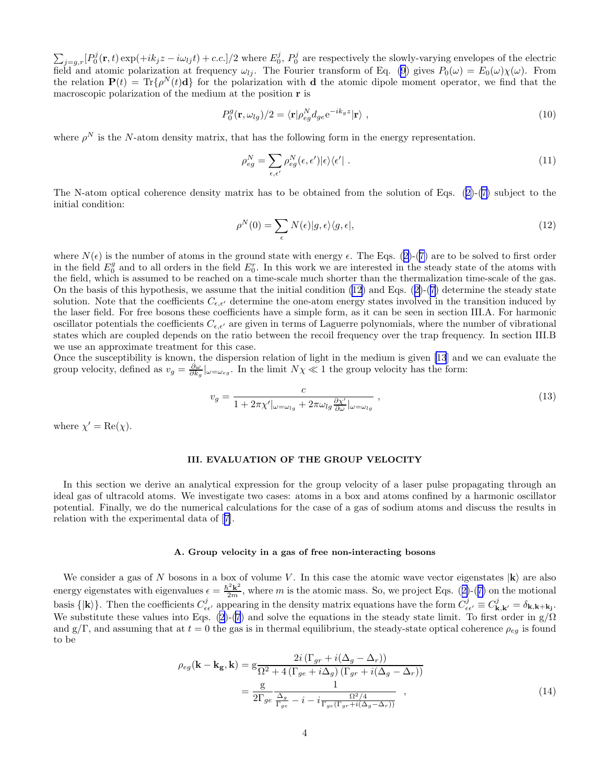<span id="page-3-0"></span> $\sum_{j=g,r}[P_0^j(\mathbf{r},t)\exp(+ik_jz-i\omega_{lj}t)+c.c.]/2$  where  $E_0^j$ ,  $P_0^j$  are respectively the slowly-varying envelopes of the electric field and atomic polarization at frequency  $\omega_{lj}$ . The Fourier transform of Eq. [\(9](#page-2-0)) gives  $P_0(\omega) = E_0(\omega)\chi(\omega)$ . From the relation  $P(t) = Tr{\rho^N(t)d}$  for the polarization with d the atomic dipole moment operator, we find that the macroscopic polarization of the medium at the position r is

$$
P_0^g(\mathbf{r}, \omega_{lg})/2 = \langle \mathbf{r} | \rho_{eg}^N d_{ge} e^{-ik_g z} | \mathbf{r} \rangle \tag{10}
$$

where  $\rho^N$  is the N-atom density matrix, that has the following form in the energy representation.

$$
\rho_{eg}^N = \sum_{\epsilon,\epsilon'} \rho_{eg}^N(\epsilon,\epsilon') |\epsilon\rangle\langle\epsilon'| \ . \tag{11}
$$

The N-atom optical coherence density matrix has to be obtained from the solution of Eqs.([2\)](#page-1-0)-([7\)](#page-1-0) subject to the initial condition:

$$
\rho^N(0) = \sum_{\epsilon} N(\epsilon) |g, \epsilon\rangle\langle g, \epsilon|,\tag{12}
$$

where $N(\epsilon)$  is the number of atoms in the ground state with energy  $\epsilon$ . The Eqs. ([2\)](#page-1-0)-([7\)](#page-1-0) are to be solved to first order in the field  $E_0^g$  and to all orders in the field  $E_0^r$ . In this work we are interested in the steady state of the atoms with the field, which is assumed to be reached on a time-scale much shorter than the thermalization time-scale of the gas. On the basis of this hypothesis, we assume that the initial condition (12) and Eqs.([2\)](#page-1-0)-([7\)](#page-1-0) determine the steady state solution. Note that the coefficients  $C_{\epsilon,\epsilon'}$  determine the one-atom energy states involved in the transition induced by the laser field. For free bosons these coefficients have a simple form, as it can be seen in section III.A. For harmonic oscillator potentials the coefficients  $C_{\epsilon,\epsilon'}$  are given in terms of Laguerre polynomials, where the number of vibrational states which are coupled depends on the ratio between the recoil frequency over the trap frequency. In section III.B we use an approximate treatment for this case.

Once the susceptibility is known, the dispersion relation of light in the medium is given [\[13](#page-11-0)] and we can evaluate the group velocity, defined as  $v_g = \frac{\partial \omega}{\partial k_g}|_{\omega = \omega_{eg}}$ . In the limit  $N\chi \ll 1$  the group velocity has the form:

$$
v_g = \frac{c}{1 + 2\pi\chi'|\omega = \omega_{lg} + 2\pi\omega_{lg}\frac{\partial\chi'}{\partial\omega}|\omega = \omega_{lg}},
$$
\n(13)

where  $\chi' = \text{Re}(\chi)$ .

# III. EVALUATION OF THE GROUP VELOCITY

In this section we derive an analytical expression for the group velocity of a laser pulse propagating through an ideal gas of ultracold atoms. We investigate two cases: atoms in a box and atoms confined by a harmonic oscillator potential. Finally, we do the numerical calculations for the case of a gas of sodium atoms and discuss the results in relation with the experimental data of[[7\]](#page-11-0).

## A. Group velocity in a gas of free non-interacting bosons

We consider a gas of N bosons in a box of volume V. In this case the atomic wave vector eigenstates  $|k\rangle$  are also energyeigenstates with eigenvalues  $\epsilon = \frac{\hbar^2 k^2}{2m}$ , where m is the atomic mass. So, we project Eqs. ([2\)](#page-1-0)-([7\)](#page-1-0) on the motional basis  $\{ | \mathbf{k} \rangle \}$ . Then the coefficients  $C_{\epsilon \epsilon'}^j$  appearing in the density matrix equations have the form  $C_{\epsilon \epsilon'}^j \equiv C_{\mathbf{k},\mathbf{k'}}^j = \delta_{\mathbf{k},\mathbf{k}+\mathbf{k}_j}$ . We substitute these values into Eqs. [\(2](#page-1-0))-[\(7](#page-1-0)) and solve the equations in the steady state limit. To first order in  $g/\Omega$ and g/Γ, and assuming that at  $t = 0$  the gas is in thermal equilibrium, the steady-state optical coherence  $\rho_{eq}$  is found to be

$$
\rho_{eg}(\mathbf{k} - \mathbf{k}_{\mathbf{g}}, \mathbf{k}) = g \frac{2i (\Gamma_{gr} + i(\Delta_g - \Delta_r))}{\Omega^2 + 4(\Gamma_{ge} + i\Delta_g) (\Gamma_{gr} + i(\Delta_g - \Delta_r))}
$$

$$
= \frac{g}{2\Gamma_{ge}} \frac{1}{\frac{\Delta_g}{\Gamma_{ge}} - i - i \frac{\Omega^2/4}{\Gamma_{ge}(\Gamma_{gr} + i(\Delta_g - \Delta_r))}}, \qquad (14)
$$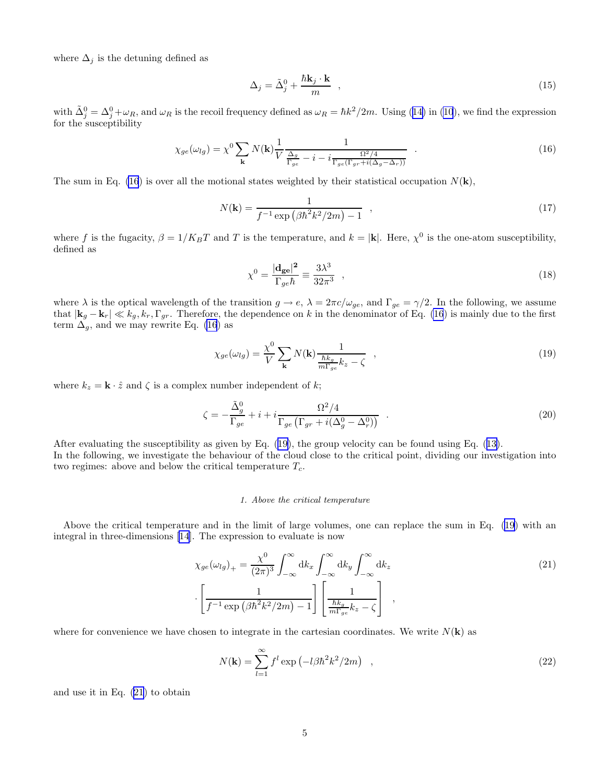<span id="page-4-0"></span>where  $\Delta_j$  is the detuning defined as

$$
\Delta_j = \tilde{\Delta}_j^0 + \frac{\hbar \mathbf{k}_j \cdot \mathbf{k}}{m} \quad , \tag{15}
$$

with $\tilde{\Delta}_j^0 = \Delta_j^0 + \omega_R$ , and  $\omega_R$  is the recoil frequency defined as  $\omega_R = \hbar k^2 / 2m$ . Using ([14\)](#page-3-0) in [\(10](#page-3-0)), we find the expression for the susceptibility

$$
\chi_{ge}(\omega_{lg}) = \chi^0 \sum_{\mathbf{k}} N(\mathbf{k}) \frac{1}{V} \frac{1}{\frac{\Delta_g}{\Gamma_{ge}} - i - i \frac{\Omega^2/4}{\Gamma_{ge}(\Gamma_{gr} + i(\Delta_g - \Delta_r))}} \quad . \tag{16}
$$

The sum in Eq. (16) is over all the motional states weighted by their statistical occupation  $N(\mathbf{k})$ ,

$$
N(\mathbf{k}) = \frac{1}{f^{-1} \exp\left(\beta \hbar^2 k^2 / 2m\right) - 1} \quad , \tag{17}
$$

where f is the fugacity,  $\beta = 1/K_B T$  and T is the temperature, and  $k = |\mathbf{k}|$ . Here,  $\chi^0$  is the one-atom susceptibility, defined as

$$
\chi^0 = \frac{|\mathbf{d}_{\mathbf{g}\mathbf{e}}|^2}{\Gamma_{ge}\hbar} \equiv \frac{3\lambda^3}{32\pi^3} \quad , \tag{18}
$$

where  $\lambda$  is the optical wavelength of the transition  $g \to e$ ,  $\lambda = 2\pi c/\omega_{ge}$ , and  $\Gamma_{ge} = \gamma/2$ . In the following, we assume that  $|\mathbf{k}_g - \mathbf{k}_r| \ll k_g, k_r, \Gamma_{gr}$ . Therefore, the dependence on k in the denominator of Eq. (16) is mainly due to the first term  $\Delta_g$ , and we may rewrite Eq. (16) as

$$
\chi_{ge}(\omega_{lg}) = \frac{\chi^0}{V} \sum_{\mathbf{k}} N(\mathbf{k}) \frac{1}{\frac{\hbar k_g}{m \Gamma_{ge}} k_z - \zeta} \quad , \tag{19}
$$

where  $k_z = \mathbf{k} \cdot \hat{z}$  and  $\zeta$  is a complex number independent of k;

$$
\zeta = -\frac{\tilde{\Delta}_g^0}{\Gamma_{ge}} + i + i \frac{\Omega^2 / 4}{\Gamma_{ge} \left( \Gamma_{gr} + i(\Delta_g^0 - \Delta_r^0) \right)} \quad . \tag{20}
$$

After evaluating the susceptibility as given by Eq. (19), the group velocity can be found using Eq.([13\)](#page-3-0). In the following, we investigate the behaviour of the cloud close to the critical point, dividing our investigation into two regimes: above and below the critical temperature  $T_c$ .

#### 1. Above the critical temperature

Above the critical temperature and in the limit of large volumes, one can replace the sum in Eq. (19) with an integral in three-dimensions [\[14](#page-11-0)]. The expression to evaluate is now

$$
\chi_{ge}(\omega_{lg})_{+} = \frac{\chi^{0}}{(2\pi)^{3}} \int_{-\infty}^{\infty} dk_{x} \int_{-\infty}^{\infty} dk_{y} \int_{-\infty}^{\infty} dk_{z}
$$
\n
$$
\left[\frac{1}{f^{-1}\exp\left(\beta\hbar^{2}k^{2}/2m\right)-1}\right] \left[\frac{1}{\frac{\hbar k_{g}}{m\Gamma_{ge}}k_{z}-\zeta}\right],
$$
\n(21)

where for convenience we have chosen to integrate in the cartesian coordinates. We write  $N(\mathbf{k})$  as

$$
N(\mathbf{k}) = \sum_{l=1}^{\infty} f^l \exp\left(-l\beta \hbar^2 k^2 / 2m\right) \quad , \tag{22}
$$

and use it in Eq. (21) to obtain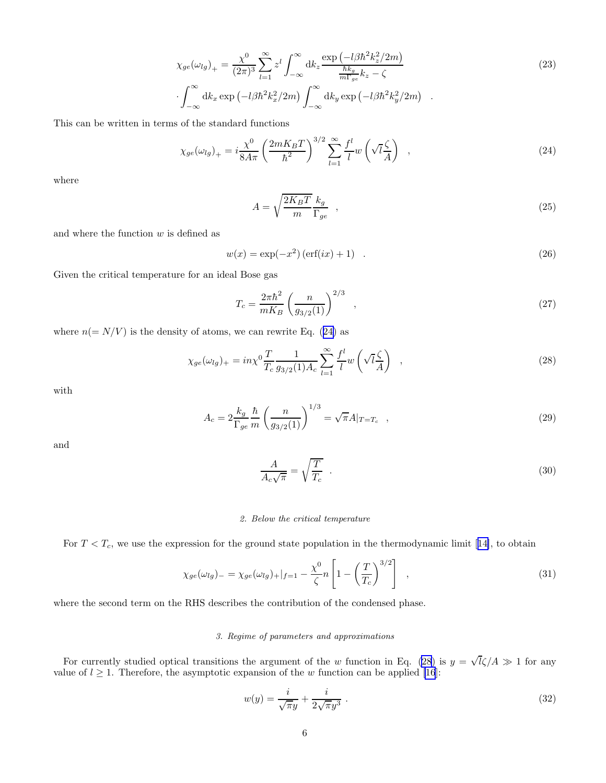$$
\chi_{ge}(\omega_{lg})_{+} = \frac{\chi^{0}}{(2\pi)^{3}} \sum_{l=1}^{\infty} z^{l} \int_{-\infty}^{\infty} dk_{z} \frac{\exp\left(-l\beta\hbar^{2}k_{z}^{2}/2m\right)}{\frac{\hbar k_{g}}{m\Gamma_{ge}}k_{z} - \zeta}
$$
\n
$$
\int_{-\infty}^{\infty} dk_{x} \exp\left(-l\beta\hbar^{2}k_{x}^{2}/2m\right) \int_{-\infty}^{\infty} dk_{y} \exp\left(-l\beta\hbar^{2}k_{y}^{2}/2m\right) . \tag{23}
$$

<span id="page-5-0"></span>This can be written in terms of the standard functions

$$
\chi_{ge}(\omega_{lg})_{+} = i \frac{\chi^0}{8A\pi} \left(\frac{2mK_BT}{\hbar^2}\right)^{3/2} \sum_{l=1}^{\infty} \frac{f^l}{l} w\left(\sqrt{l}\frac{\zeta}{A}\right) , \qquad (24)
$$

where

$$
A = \sqrt{\frac{2K_B T}{m}} \frac{k_g}{\Gamma_{ge}} \quad , \tag{25}
$$

and where the function  $w$  is defined as

$$
w(x) = \exp(-x^2) (\text{erf}(ix) + 1) \quad . \tag{26}
$$

Given the critical temperature for an ideal Bose gas

$$
T_c = \frac{2\pi\hbar^2}{mK_B} \left(\frac{n}{g_{3/2}(1)}\right)^{2/3} \quad , \tag{27}
$$

where  $n (= N/V)$  is the density of atoms, we can rewrite Eq. (24) as

$$
\chi_{ge}(\omega_{lg})_+ = in\chi^0 \frac{T}{T_c} \frac{1}{g_{3/2}(1)A_c} \sum_{l=1}^{\infty} \frac{f^l}{l} w\left(\sqrt{l}\frac{\zeta}{A}\right) ,\qquad (28)
$$

with

$$
A_c = 2\frac{k_g}{\Gamma_{ge}} \frac{\hbar}{m} \left(\frac{n}{g_{3/2}(1)}\right)^{1/3} = \sqrt{\pi}A|_{T=T_c} ,
$$
\n(29)

and

$$
\frac{A}{A_c\sqrt{\pi}} = \sqrt{\frac{T}{T_c}} \tag{30}
$$

#### 2. Below the critical temperature

For $T < T_c$ , we use the expression for the ground state population in the thermodynamic limit [[14\]](#page-11-0), to obtain

$$
\chi_{ge}(\omega_{lg})_{-} = \chi_{ge}(\omega_{lg})_{+}|_{f=1} - \frac{\chi^0}{\zeta}n\left[1 - \left(\frac{T}{T_c}\right)^{3/2}\right],
$$
\n(31)

where the second term on the RHS describes the contribution of the condensed phase.

# 3. Regime of parameters and approximations

For currently studied optical transitions the argument of the w function in Eq. (28) is  $y = \sqrt{l}\zeta/A \gg 1$  for any value of  $l \geq 1$ . Therefore, the asymptotic expansion of the w function can be applied [\[16](#page-11-0)]:

$$
w(y) = \frac{i}{\sqrt{\pi}y} + \frac{i}{2\sqrt{\pi}y^3} \tag{32}
$$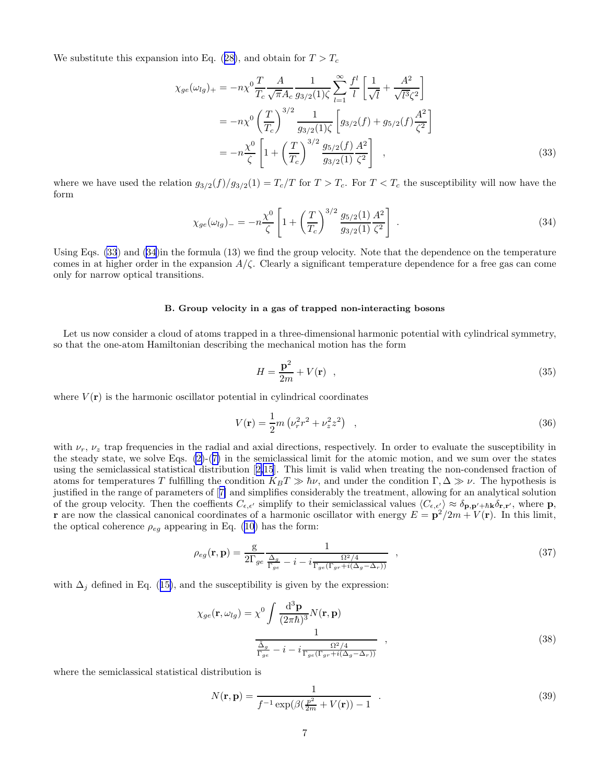<span id="page-6-0"></span>Wesubstitute this expansion into Eq. ([28\)](#page-5-0), and obtain for  $T > T_c$ 

$$
\chi_{ge}(\omega_{lg})_{+} = -n\chi^{0}\frac{T}{T_{c}}\frac{A}{\sqrt{\pi}A_{c}}\frac{1}{g_{3/2}(1)\zeta}\sum_{l=1}^{\infty}\frac{f^{l}}{l}\left[\frac{1}{\sqrt{l}} + \frac{A^{2}}{\sqrt{l^{3}}\zeta^{2}}\right]
$$
  

$$
= -n\chi^{0}\left(\frac{T}{T_{c}}\right)^{3/2}\frac{1}{g_{3/2}(1)\zeta}\left[g_{3/2}(f) + g_{5/2}(f)\frac{A^{2}}{\zeta^{2}}\right]
$$
  

$$
= -n\frac{\chi^{0}}{\zeta}\left[1 + \left(\frac{T}{T_{c}}\right)^{3/2}\frac{g_{5/2}(f)}{g_{3/2}(1)}\frac{A^{2}}{\zeta^{2}}\right],
$$
 (33)

where we have used the relation  $g_{3/2}(f)/g_{3/2}(1) = T_c/T$  for  $T > T_c$ . For  $T < T_c$  the susceptibility will now have the form

$$
\chi_{ge}(\omega_{lg})_{-} = -n\frac{\chi^0}{\zeta} \left[ 1 + \left(\frac{T}{T_c}\right)^{3/2} \frac{g_{5/2}(1)}{g_{3/2}(1)} \frac{A^2}{\zeta^2} \right] \ . \tag{34}
$$

Using Eqs. (33) and (34)in the formula (13) we find the group velocity. Note that the dependence on the temperature comes in at higher order in the expansion  $A/\zeta$ . Clearly a significant temperature dependence for a free gas can come only for narrow optical transitions.

# B. Group velocity in a gas of trapped non-interacting bosons

Let us now consider a cloud of atoms trapped in a three-dimensional harmonic potential with cylindrical symmetry, so that the one-atom Hamiltonian describing the mechanical motion has the form

$$
H = \frac{\mathbf{p}^2}{2m} + V(\mathbf{r}) \quad , \tag{35}
$$

where  $V(\mathbf{r})$  is the harmonic oscillator potential in cylindrical coordinates

$$
V(\mathbf{r}) = \frac{1}{2}m\left(\nu_r^2 r^2 + \nu_z^2 z^2\right) \quad , \tag{36}
$$

with  $\nu_r$ ,  $\nu_z$  trap frequencies in the radial and axial directions, respectively. In order to evaluate the susceptibility in the steady state, we solve Eqs.  $(2)-(7)$  $(2)-(7)$  in the semiclassical limit for the atomic motion, and we sum over the states using the semiclassical statistical distribution[[2,15](#page-11-0)]. This limit is valid when treating the non-condensed fraction of atoms for temperatures T fulfilling the condition  $K_BT \gg \hbar \nu$ , and under the condition  $\Gamma, \Delta \gg \nu$ . The hypothesis is justified in the range of parameters of[[7\]](#page-11-0) and simplifies considerably the treatment, allowing for an analytical solution of the group velocity. Then the coeffients  $C_{\epsilon,\epsilon'}$  simplify to their semiclassical values  $\langle C_{\epsilon,\epsilon'} \rangle \approx \delta_{\mathbf{p},\mathbf{p'}+\hbar\mathbf{k}} \delta_{\mathbf{r},\mathbf{r'}},$  where  $\mathbf{p},$ **r** are now the classical canonical coordinates of a harmonic oscillator with energy  $E = \mathbf{p}^2/2m + V(\mathbf{r})$ . In this limit, the optical coherence  $\rho_{eg}$  appearing in Eq. [\(10](#page-3-0)) has the form:

$$
\rho_{eg}(\mathbf{r}, \mathbf{p}) = \frac{g}{2\Gamma_{ge}} \frac{1}{\frac{\Delta_g}{\Gamma_{ge}} - i - i \frac{\Omega^2/4}{\Gamma_{ge}(\Gamma_{gr} + i(\Delta_g - \Delta_r))}},
$$
\n(37)

with $\Delta_j$  defined in Eq. ([15\)](#page-4-0), and the susceptibility is given by the expression:

$$
\chi_{ge}(\mathbf{r}, \omega_{lg}) = \chi^0 \int \frac{\mathrm{d}^3 \mathbf{p}}{(2\pi\hbar)^3} N(\mathbf{r}, \mathbf{p})
$$

$$
\frac{1}{\frac{\tilde{\Delta}_g}{\Gamma_{ge}} - i - i \frac{\Omega^2/4}{\Gamma_{ge}(\Gamma_{gr} + i(\Delta_g - \Delta_r))}}, \qquad (38)
$$

where the semiclassical statistical distribution is

$$
N(\mathbf{r}, \mathbf{p}) = \frac{1}{f^{-1} \exp(\beta(\frac{p^2}{2m} + V(\mathbf{r})) - 1)} \tag{39}
$$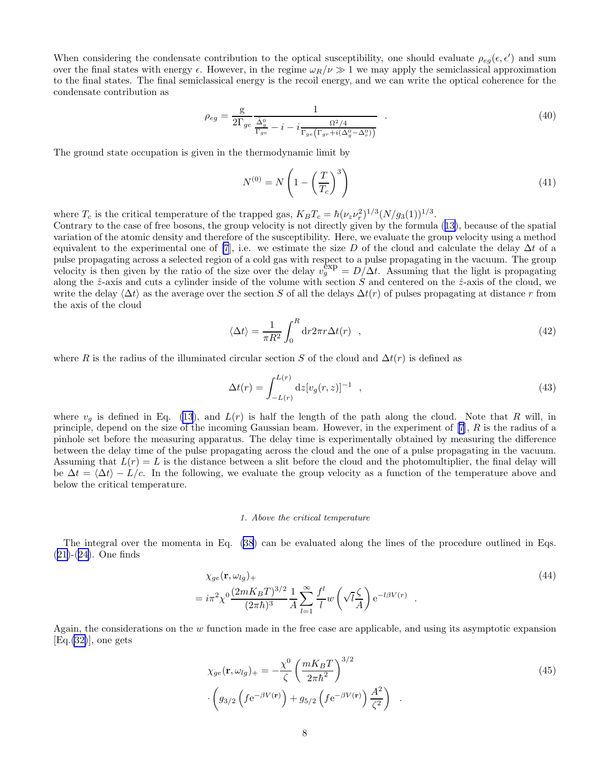<span id="page-7-0"></span>When considering the condensate contribution to the optical susceptibility, one should evaluate  $\rho_{eg}(\epsilon, \epsilon')$  and sum over the final states with energy  $\epsilon$ . However, in the regime  $\omega_R/\nu \gg 1$  we may apply the semiclassical approximation to the final states. The final semiclassical energy is the recoil energy, and we can write the optical coherence for the condensate contribution as

$$
\rho_{eg} = \frac{\mathbf{g}}{2\Gamma_{ge}} \frac{1}{\frac{\tilde{\Delta}_g^0}{\Gamma_{ge}} - i - i \frac{\Omega^2/4}{\Gamma_{ge}(\Gamma_{gr} + i(\Delta_g^0 - \Delta_r^0))}} \tag{40}
$$

The ground state occupation is given in the thermodynamic limit by

$$
N^{(0)} = N\left(1 - \left(\frac{T}{T_c}\right)^3\right) \tag{41}
$$

where  $T_c$  is the critical temperature of the trapped gas,  $K_B T_c = \hbar (\nu_z \nu_r^2)^{1/3} (N/g_3(1))^{1/3}$ .

Contrary to the case of free bosons, the group velocity is not directly given by the formula([13\)](#page-3-0), because of the spatial variation of the atomic density and therefore of the susceptibility. Here, we evaluate the group velocity using a method equivalent to the experimental one of [\[7](#page-11-0)], i.e. we estimate the size D of the cloud and calculate the delay  $\Delta t$  of a pulse propagating across a selected region of a cold gas with respect to a pulse propagating in the vacuum. The group velocity is then given by the ratio of the size over the delay  $v_g^{\exp} = D/\Delta t$ . Assuming that the light is propagating velocity along the  $\hat{z}$ -axis and cuts a cylinder inside of the volume with section S and centered on the  $\hat{z}$ -axis of the cloud, we write the delay  $\langle \Delta t \rangle$  as the average over the section S of all the delays  $\Delta t(r)$  of pulses propagating at distance r from the axis of the cloud

$$
\langle \Delta t \rangle = \frac{1}{\pi R^2} \int_0^R \mathrm{d}r 2\pi r \Delta t(r) \quad , \tag{42}
$$

where R is the radius of the illuminated circular section S of the cloud and  $\Delta t(r)$  is defined as

$$
\Delta t(r) = \int_{-L(r)}^{L(r)} dz [v_g(r, z)]^{-1} , \qquad (43)
$$

where  $v_q$  is defined in Eq. [\(13](#page-3-0)), and  $L(r)$  is half the length of the path along the cloud. Note that R will, in principle, depend on the size of the incoming Gaussian beam. However, in the experiment of  $[7]$ ,  $R$  is the radius of a pinhole set before the measuring apparatus. The delay time is experimentally obtained by measuring the difference between the delay time of the pulse propagating across the cloud and the one of a pulse propagating in the vacuum. Assuming that  $L(r) = L$  is the distance between a slit before the cloud and the photomultiplier, the final delay will be  $\Delta t = \langle \Delta t \rangle - L/c$ . In the following, we evaluate the group velocity as a function of the temperature above and below the critical temperature.

#### 1. Above the critical temperature

The integral over the momenta in Eq. [\(38](#page-6-0)) can be evaluated along the lines of the procedure outlined in Eqs. ([21\)](#page-4-0)-([24](#page-5-0)). One finds

$$
\chi_{ge}(\mathbf{r}, \omega_{lg})_{+}
$$
\n
$$
= i\pi^2 \chi^0 \frac{(2mK_B T)^{3/2}}{(2\pi\hbar)^3} \frac{1}{A} \sum_{l=1}^{\infty} \frac{f^l}{l} w\left(\sqrt{l}\frac{\zeta}{A}\right) e^{-l\beta V(r)} .
$$
\n
$$
(44)
$$

Again, the considerations on the w function made in the free case are applicable, and using its asymptotic expansion  $[Eq.32]$ , one gets

$$
\chi_{ge}(\mathbf{r}, \omega_{lg})_{+} = -\frac{\chi^{0}}{\zeta} \left(\frac{mK_{B}T}{2\pi\hbar^{2}}\right)^{3/2} \cdot \left(g_{3/2}\left(f e^{-\beta V(\mathbf{r})}\right) + g_{5/2}\left(f e^{-\beta V(\mathbf{r})}\right)\frac{A^{2}}{\zeta^{2}}\right) . \tag{45}
$$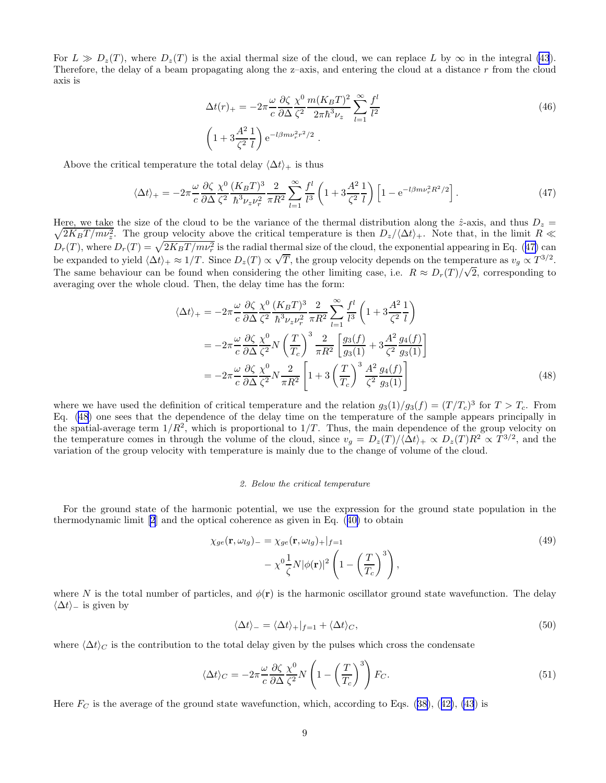For  $L \gg D_z(T)$ , where  $D_z(T)$  is the axial thermal size of the cloud, we can replace L by  $\infty$  in the integral [\(43](#page-7-0)). Therefore, the delay of a beam propagating along the z–axis, and entering the cloud at a distance  $r$  from the cloud axis is

$$
\Delta t(r)_{+} = -2\pi \frac{\omega}{c} \frac{\partial \zeta}{\partial \Delta} \frac{\chi^0}{\zeta^2} \frac{m(K_B T)^2}{2\pi \hbar^3 \nu_z} \sum_{l=1}^{\infty} \frac{f^l}{l^2}
$$
\n
$$
\left(1 + 3\frac{A^2}{\zeta^2} \frac{1}{l}\right) e^{-l\beta m \nu_r^2 r^2/2}.
$$
\n(46)

Above the critical temperature the total delay  $\langle \Delta t \rangle_+$  is thus

$$
\langle \Delta t \rangle_+ = -2\pi \frac{\omega}{c} \frac{\partial \zeta}{\partial \Delta} \frac{\chi^0}{\zeta^2} \frac{(K_B T)^3}{\hbar^3 \nu_z \nu_r^2} \frac{2}{\pi R^2} \sum_{l=1}^{\infty} \frac{f^l}{l^3} \left( 1 + 3 \frac{A^2}{\zeta^2} \frac{1}{l} \right) \left[ 1 - e^{-l \beta m \nu_r^2 R^2 / 2} \right]. \tag{47}
$$

 $\sqrt{2K_BT/m\nu_z^2}$ . The group velocity above the critical temperature is then  $D_z/\langle\Delta t\rangle_+$ . Note that, in the limit  $R \ll$ Here, we take the size of the cloud to be the variance of the thermal distribution along the  $\hat{z}$ -axis, and thus  $D_z =$  $D_r(T)$ , where  $D_r(T) = \sqrt{2K_B T / m\nu_r^2}$  is the radial thermal size of the cloud, the exponential appearing in Eq. (47) can be expanded to yield  $\langle \Delta t \rangle_+ \approx 1/T$ . Since  $D_z(T) \propto \sqrt{T}$ , the group velocity depends on the temperature as  $v_g \propto T^{3/2}$ . The same behaviour can be found when considering the other limiting case, i.e.  $R \approx D_r(T)/\sqrt{2}$ , corresponding to averaging over the whole cloud. Then, the delay time has the form:

$$
\langle \Delta t \rangle_{+} = -2\pi \frac{\omega}{c} \frac{\partial \zeta}{\partial \Delta} \frac{\chi^{0}}{\zeta^{2}} \frac{(K_{B}T)^{3}}{\hbar^{3} \nu_{z} \nu_{r}^{2}} \frac{2}{\pi R^{2}} \sum_{l=1}^{\infty} \frac{f^{l}}{l^{3}} \left( 1 + 3 \frac{A^{2}}{\zeta^{2}} \frac{1}{l} \right)
$$
  
= 
$$
-2\pi \frac{\omega}{c} \frac{\partial \zeta}{\partial \Delta} \frac{\chi^{0}}{\zeta^{2}} N \left( \frac{T}{T_{c}} \right)^{3} \frac{2}{\pi R^{2}} \left[ \frac{g_{3}(f)}{g_{3}(1)} + 3 \frac{A^{2}}{\zeta^{2}} \frac{g_{4}(f)}{g_{3}(1)} \right]
$$
  
= 
$$
-2\pi \frac{\omega}{c} \frac{\partial \zeta}{\partial \Delta} \frac{\chi^{0}}{\zeta^{2}} N \frac{2}{\pi R^{2}} \left[ 1 + 3 \left( \frac{T}{T_{c}} \right)^{3} \frac{A^{2}}{\zeta^{2}} \frac{g_{4}(f)}{g_{3}(1)} \right]
$$
(48)

where we have used the definition of critical temperature and the relation  $g_3(1)/g_3(f) = (T/T_c)^3$  for  $T > T_c$ . From Eq. (48) one sees that the dependence of the delay time on the temperature of the sample appears principally in the spatial-average term  $1/R^2$ , which is proportional to  $1/T$ . Thus, the main dependence of the group velocity on the temperature comes in through the volume of the cloud, since  $v_g = D_z(T)/\langle \Delta t \rangle_+ \propto D_z(T)R^2 \propto T^{3/2}$ , and the variation of the group velocity with temperature is mainly due to the change of volume of the cloud.

# 2. Below the critical temperature

For the ground state of the harmonic potential, we use the expression for the ground state population in the thermodynamic limit [\[2](#page-11-0)] and the optical coherence as given in Eq.([40\)](#page-7-0) to obtain

$$
\chi_{ge}(\mathbf{r}, \omega_{lg})_{-} = \chi_{ge}(\mathbf{r}, \omega_{lg})_{+}|_{f=1}
$$
  
-  $\chi^{0} \frac{1}{\zeta} N |\phi(\mathbf{r})|^{2} \left(1 - \left(\frac{T}{T_c}\right)^{3}\right),$  (49)

where N is the total number of particles, and  $\phi(\mathbf{r})$  is the harmonic oscillator ground state wavefunction. The delay  $\langle \Delta t \rangle$  is given by

$$
\langle \Delta t \rangle_{-} = \langle \Delta t \rangle_{+}|_{f=1} + \langle \Delta t \rangle_{C},\tag{50}
$$

where  $\langle \Delta t \rangle_C$  is the contribution to the total delay given by the pulses which cross the condensate

$$
\langle \Delta t \rangle_C = -2\pi \frac{\omega}{c} \frac{\partial \zeta}{\partial \Delta} \frac{\chi^0}{\zeta^2} N \left( 1 - \left( \frac{T}{T_c} \right)^3 \right) F_C. \tag{51}
$$

Here $F_C$  is the average of the ground state wavefunction, which, according to Eqs. ([38\)](#page-6-0), ([42\)](#page-7-0), [\(43](#page-7-0)) is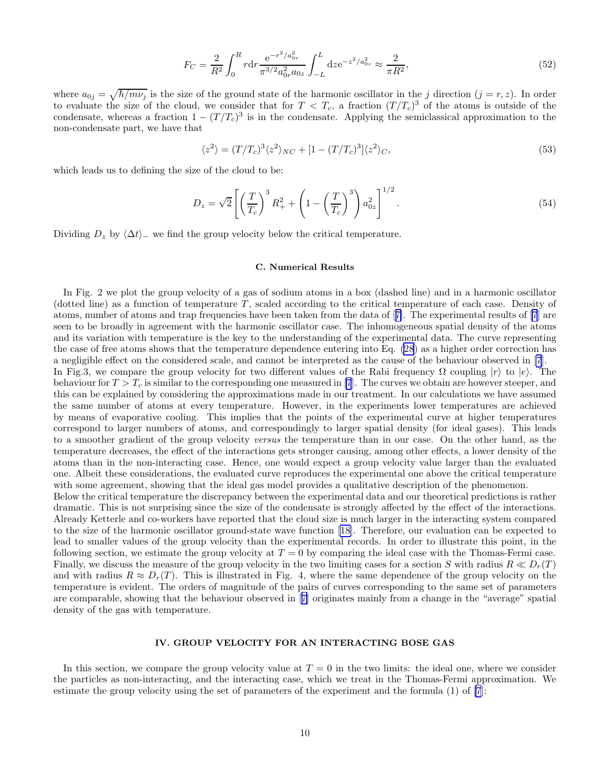$$
F_C = \frac{2}{R^2} \int_0^R r \mathrm{d}r \frac{\mathrm{e}^{-r^2/a_{0r}^2}}{\pi^{3/2} a_{0r}^2 a_{0z}} \int_{-L}^{L} \mathrm{d}z \mathrm{e}^{-z^2/a_{0z}^2} \approx \frac{2}{\pi R^2},\tag{52}
$$

where  $a_{0j} = \sqrt{\hbar/m\nu_j}$  is the size of the ground state of the harmonic oscillator in the j direction  $(j = r, z)$ . In order to evaluate the size of the cloud, we consider that for  $T < T_c$ , a fraction  $(T/T_c)^3$  of the atoms is outside of the condensate, whereas a fraction  $1 - (T/T_c)^3$  is in the condensate. Applying the semiclassical approximation to the non-condensate part, we have that

$$
\langle z^2 \rangle = (T/T_c)^3 \langle z^2 \rangle_{NC} + [1 - (T/T_c)^3] \langle z^2 \rangle_C,\tag{53}
$$

which leads us to defining the size of the cloud to be:

$$
D_z = \sqrt{2} \left[ \left( \frac{T}{T_c} \right)^3 R_+^2 + \left( 1 - \left( \frac{T}{T_c} \right)^3 \right) a_{0z}^2 \right]^{1/2} . \tag{54}
$$

Dividing  $D_z$  by  $\langle \Delta t \rangle$  we find the group velocity below the critical temperature.

#### C. Numerical Results

In Fig. 2 we plot the group velocity of a gas of sodium atoms in a box (dashed line) and in a harmonic oscillator (dotted line) as a function of temperature  $T$ , scaled according to the critical temperature of each case. Density of atoms, number of atoms and trap frequencies have been taken from the data of[[7\]](#page-11-0). The experimental results of [\[7](#page-11-0)] are seen to be broadly in agreement with the harmonic oscillator case. The inhomogeneous spatial density of the atoms and its variation with temperature is the key to the understanding of the experimental data. The curve representing the case of free atoms shows that the temperature dependence entering into Eq. [\(28](#page-5-0)) as a higher order correction has a negligible effect on the considered scale, and cannot be interpreted as the cause of the behaviour observed in [\[7](#page-11-0)]. In Fig.3, we compare the group velocity for two different values of the Rabi frequency  $\Omega$  coupling  $|r\rangle$  to  $|e\rangle$ . The behaviour for  $T > T_c$  is similar to the corresponding one measured in [\[7](#page-11-0)]. The curves we obtain are however steeper, and this can be explained by considering the approximations made in our treatment. In our calculations we have assumed the same number of atoms at every temperature. However, in the experiments lower temperatures are achieved by means of evaporative cooling. This implies that the points of the experimental curve at higher temperatures correspond to larger numbers of atoms, and correspondingly to larger spatial density (for ideal gases). This leads to a smoother gradient of the group velocity versus the temperature than in our case. On the other hand, as the temperature decreases, the effect of the interactions gets stronger causing, among other effects, a lower density of the atoms than in the non-interacting case. Hence, one would expect a group velocity value larger than the evaluated one. Albeit these considerations, the evaluated curve reproduces the experimental one above the critical temperature with some agreement, showing that the ideal gas model provides a qualitative description of the phenomenon.

Below the critical temperature the discrepancy between the experimental data and our theoretical predictions is rather dramatic. This is not surprising since the size of the condensate is strongly affected by the effect of the interactions. Already Ketterle and co-workers have reported that the cloud size is much larger in the interacting system compared to the size of the harmonic oscillator ground-state wave function [\[18](#page-11-0)]. Therefore, our evaluation can be expected to lead to smaller values of the group velocity than the experimental records. In order to illustrate this point, in the following section, we estimate the group velocity at  $T = 0$  by comparing the ideal case with the Thomas-Fermi case. Finally, we discuss the measure of the group velocity in the two limiting cases for a section S with radius  $R \ll D_r(T)$ and with radius  $R \approx D_r(T)$ . This is illustrated in Fig. 4, where the same dependence of the group velocity on the temperature is evident. The orders of magnitude of the pairs of curves corresponding to the same set of parameters are comparable, showing that the behaviour observed in[[7\]](#page-11-0) originates mainly from a change in the "average" spatial density of the gas with temperature.

# IV. GROUP VELOCITY FOR AN INTERACTING BOSE GAS

In this section, we compare the group velocity value at  $T = 0$  in the two limits: the ideal one, where we consider the particles as non-interacting, and the interacting case, which we treat in the Thomas-Fermi approximation. We estimate the group velocity using the set of parameters of the experiment and the formula (1) of [\[7](#page-11-0)]: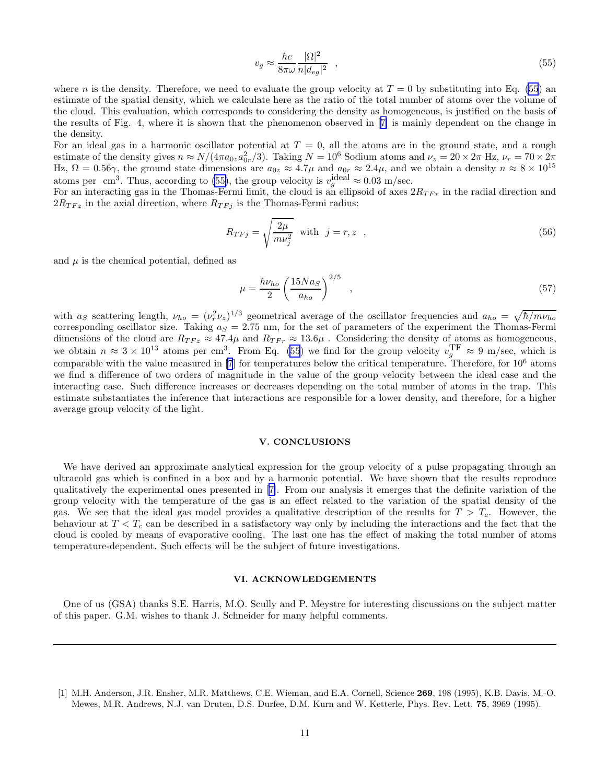$$
v_g \approx \frac{\hbar c}{8\pi\omega} \frac{|\Omega|^2}{n|d_{eg}|^2} \quad , \tag{55}
$$

<span id="page-10-0"></span>where n is the density. Therefore, we need to evaluate the group velocity at  $T = 0$  by substituting into Eq. (55) an estimate of the spatial density, which we calculate here as the ratio of the total number of atoms over the volume of the cloud. This evaluation, which corresponds to considering the density as homogeneous, is justified on the basis of the results of Fig. 4, where it is shown that the phenomenon observed in[[7\]](#page-11-0) is mainly dependent on the change in the density.

For an ideal gas in a harmonic oscillator potential at  $T = 0$ , all the atoms are in the ground state, and a rough estimate of the density gives  $n \approx N/(4\pi a_{0z}a_{0r}^2/3)$ . Taking  $N = 10^6$  Sodium atoms and  $\nu_z = 20 \times 2\pi$  Hz,  $\nu_r = 70 \times 2\pi$ Hz,  $\Omega = 0.56\gamma$ , the ground state dimensions are  $a_{0z} \approx 4.7\mu$  and  $a_{0r} \approx 2.4\mu$ , and we obtain a density  $n \approx 8 \times 10^{15}$ atoms per cm<sup>3</sup>. Thus, according to (55), the group velocity is  $v_g^{\text{ideal}} \approx 0.03 \text{ m/sec.}$ 

For an interacting gas in the Thomas-Fermi limit, the cloud is an ellipsoid of axes  $2R_{TF}$  in the radial direction and  $2R_{TFz}$  in the axial direction, where  $R_{TFj}$  is the Thomas-Fermi radius:

$$
R_{TFj} = \sqrt{\frac{2\mu}{m\nu_j^2}} \quad \text{with} \quad j = r, z \quad , \tag{56}
$$

and  $\mu$  is the chemical potential, defined as

$$
\mu = \frac{\hbar \nu_{ho}}{2} \left(\frac{15N a_S}{a_{ho}}\right)^{2/5} \quad , \tag{57}
$$

with  $a_S$  scattering length,  $\nu_{ho} = (\nu_r^2 \nu_z)^{1/3}$  geometrical average of the oscillator frequencies and  $a_{ho} = \sqrt{\hbar/m\nu_{ho}}$ corresponding oscillator size. Taking  $a<sub>S</sub> = 2.75$  nm, for the set of parameters of the experiment the Thomas-Fermi dimensions of the cloud are  $R_{TFz} \approx 47.4\mu$  and  $R_{TFr} \approx 13.6\mu$ . Considering the density of atoms as homogeneous, we obtain  $n \approx 3 \times 10^{13}$  atoms per cm<sup>3</sup>. From Eq. (55) we find for the group velocity  $v_g^{\text{TF}} \approx 9$  m/sec, which is comparable with the value measured in  $[7]$  for temperatures below the critical temperature. Therefore, for  $10^6$  atoms we find a difference of two orders of magnitude in the value of the group velocity between the ideal case and the interacting case. Such difference increases or decreases depending on the total number of atoms in the trap. This estimate substantiates the inference that interactions are responsible for a lower density, and therefore, for a higher average group velocity of the light.

# V. CONCLUSIONS

We have derived an approximate analytical expression for the group velocity of a pulse propagating through an ultracold gas which is confined in a box and by a harmonic potential. We have shown that the results reproduce qualitatively the experimental ones presented in[[7\]](#page-11-0). From our analysis it emerges that the definite variation of the group velocity with the temperature of the gas is an effect related to the variation of the spatial density of the gas. We see that the ideal gas model provides a qualitative description of the results for  $T > T_c$ . However, the behaviour at  $T < T_c$  can be described in a satisfactory way only by including the interactions and the fact that the cloud is cooled by means of evaporative cooling. The last one has the effect of making the total number of atoms temperature-dependent. Such effects will be the subject of future investigations.

#### VI. ACKNOWLEDGEMENTS

One of us (GSA) thanks S.E. Harris, M.O. Scully and P. Meystre for interesting discussions on the subject matter of this paper. G.M. wishes to thank J. Schneider for many helpful comments.

<sup>[1]</sup> M.H. Anderson, J.R. Ensher, M.R. Matthews, C.E. Wieman, and E.A. Cornell, Science 269, 198 (1995), K.B. Davis, M.-O. Mewes, M.R. Andrews, N.J. van Druten, D.S. Durfee, D.M. Kurn and W. Ketterle, Phys. Rev. Lett. 75, 3969 (1995).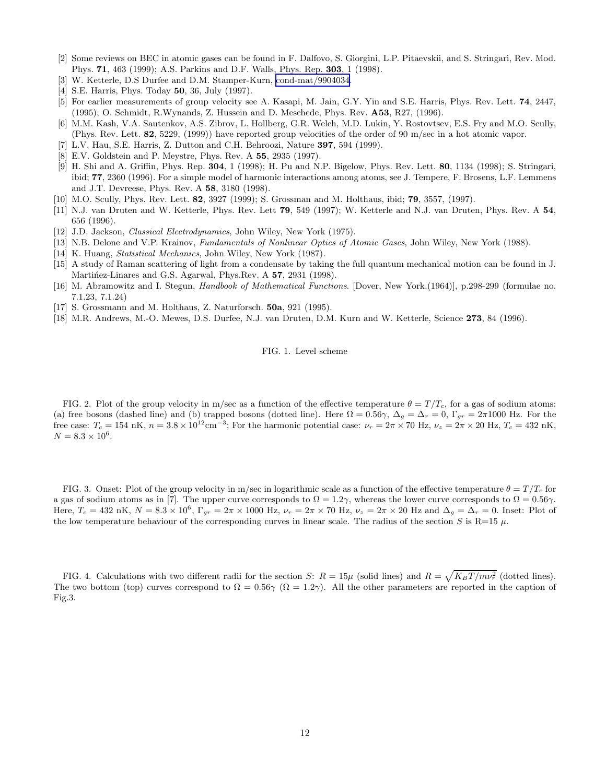- <span id="page-11-0"></span>[2] Some reviews on BEC in atomic gases can be found in F. Dalfovo, S. Giorgini, L.P. Pitaevskii, and S. Stringari, Rev. Mod. Phys. 71, 463 (1999); A.S. Parkins and D.F. Walls, Phys. Rep. 303, 1 (1998).
- [3] W. Ketterle, D.S Durfee and D.M. Stamper-Kurn, [cond-mat/9904034](http://arXiv.org/abs/cond-mat/9904034).
- [4] S.E. Harris, Phys. Today 50, 36, July (1997).
- [5] For earlier measurements of group velocity see A. Kasapi, M. Jain, G.Y. Yin and S.E. Harris, Phys. Rev. Lett. 74, 2447, (1995); O. Schmidt, R.Wynands, Z. Hussein and D. Meschede, Phys. Rev. A53, R27, (1996).
- [6] M.M. Kash, V.A. Sautenkov, A.S. Zibrov, L. Hollberg, G.R. Welch, M.D. Lukin, Y. Rostovtsev, E.S. Fry and M.O. Scully, (Phys. Rev. Lett. 82, 5229, (1999)) have reported group velocities of the order of 90 m/sec in a hot atomic vapor.
- [7] L.V. Hau, S.E. Harris, Z. Dutton and C.H. Behroozi, Nature 397, 594 (1999).
- [8] E.V. Goldstein and P. Meystre, Phys. Rev. A 55, 2935 (1997).
- [9] H. Shi and A. Griffin, Phys. Rep. 304, 1 (1998); H. Pu and N.P. Bigelow, Phys. Rev. Lett. 80, 1134 (1998); S. Stringari, ibid; 77, 2360 (1996). For a simple model of harmonic interactions among atoms, see J. Tempere, F. Brosens, L.F. Lemmens and J.T. Devreese, Phys. Rev. A 58, 3180 (1998).
- [10] M.O. Scully, Phys. Rev. Lett. 82, 3927 (1999); S. Grossman and M. Holthaus, ibid; 79, 3557, (1997).
- [11] N.J. van Druten and W. Ketterle, Phys. Rev. Lett 79, 549 (1997); W. Ketterle and N.J. van Druten, Phys. Rev. A 54, 656 (1996).
- [12] J.D. Jackson, *Classical Electrodynamics*, John Wiley, New York (1975).
- [13] N.B. Delone and V.P. Krainov, Fundamentals of Nonlinear Optics of Atomic Gases, John Wiley, New York (1988).
- [14] K. Huang, *Statistical Mechanics*, John Wiley, New York (1987).
- [15] A study of Raman scattering of light from a condensate by taking the full quantum mechanical motion can be found in J. Martinez-Linares and G.S. Agarwal, Phys.Rev. A 57, 2931 (1998).
- [16] M. Abramowitz and I. Stegun, Handbook of Mathematical Functions. [Dover, New York.(1964)], p.298-299 (formulae no. 7.1.23, 7.1.24)
- [17] S. Grossmann and M. Holthaus, Z. Naturforsch. 50a, 921 (1995).
- [18] M.R. Andrews, M.-O. Mewes, D.S. Durfee, N.J. van Druten, D.M. Kurn and W. Ketterle, Science 273, 84 (1996).

## FIG. 1. Level scheme

FIG. 2. Plot of the group velocity in m/sec as a function of the effective temperature  $\theta = T/T_c$ , for a gas of sodium atoms: (a) free bosons (dashed line) and (b) trapped bosons (dotted line). Here  $\Omega = 0.56\gamma$ ,  $\Delta_q = \Delta_r = 0$ ,  $\Gamma_{qr} = 2\pi 1000$  Hz. For the free case:  $T_c = 154 \text{ nK}, n = 3.8 \times 10^{12} \text{cm}^{-3}$ ; For the harmonic potential case:  $\nu_r = 2\pi \times 70 \text{ Hz}, \nu_z = 2\pi \times 20 \text{ Hz}, T_c = 432 \text{ nK}$ ,  $N = 8.3 \times 10^6$ .

FIG. 3. Onset: Plot of the group velocity in m/sec in logarithmic scale as a function of the effective temperature  $\theta = T/T_c$  for a gas of sodium atoms as in [7]. The upper curve corresponds to  $\Omega = 1.2\gamma$ , whereas the lower curve corresponds to  $\Omega = 0.56\gamma$ . Here,  $T_c = 432 \text{ nK}$ ,  $N = 8.3 \times 10^6$ ,  $\Gamma_{gr} = 2\pi \times 1000 \text{ Hz}$ ,  $\nu_r = 2\pi \times 70 \text{ Hz}$ ,  $\nu_z = 2\pi \times 20 \text{ Hz}$  and  $\Delta_g = \Delta_r = 0$ . Inset: Plot of the low temperature behaviour of the corresponding curves in linear scale. The radius of the section S is R=15  $\mu$ .

FIG. 4. Calculations with two different radii for the section S:  $R = 15\mu$  (solid lines) and  $R = \sqrt{K_B T / m \nu_r^2}$  (dotted lines). The two bottom (top) curves correspond to  $\Omega = 0.56\gamma$  ( $\Omega = 1.2\gamma$ ). All the other parameters are reported in the caption of Fig.3.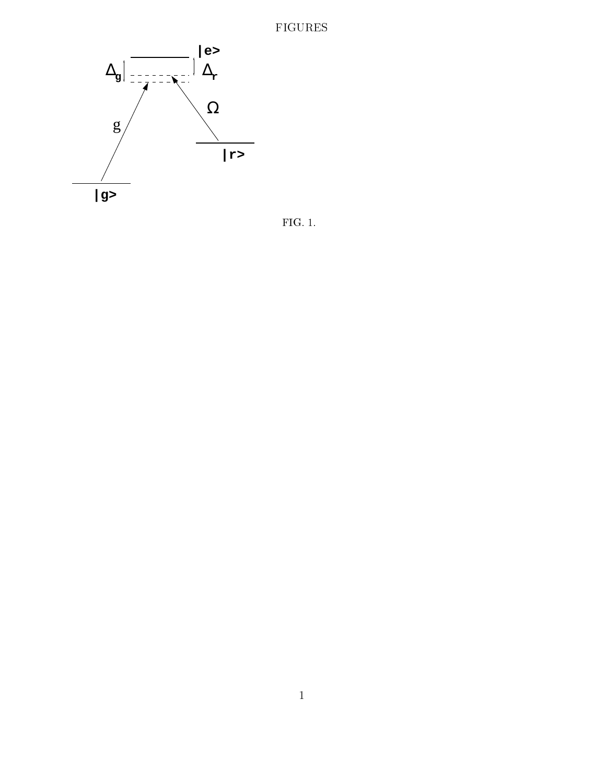# FIGURES



FIG. 1.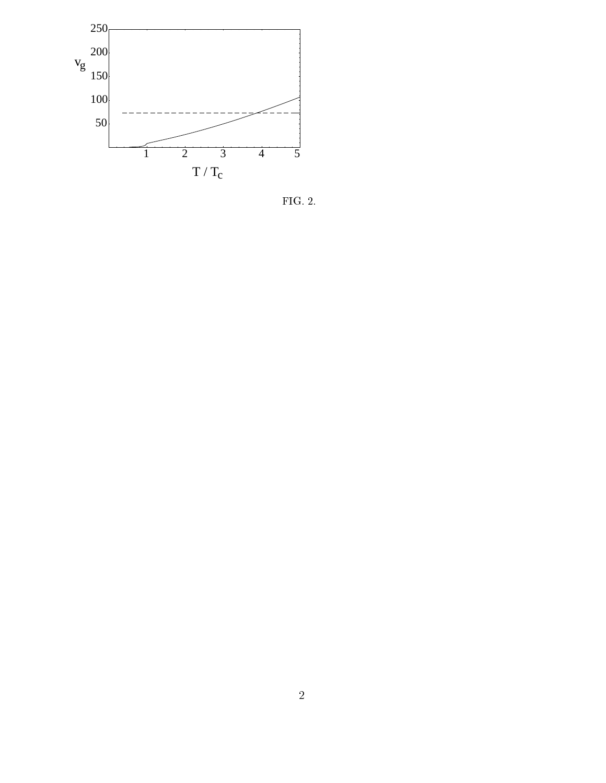

FIG. 2.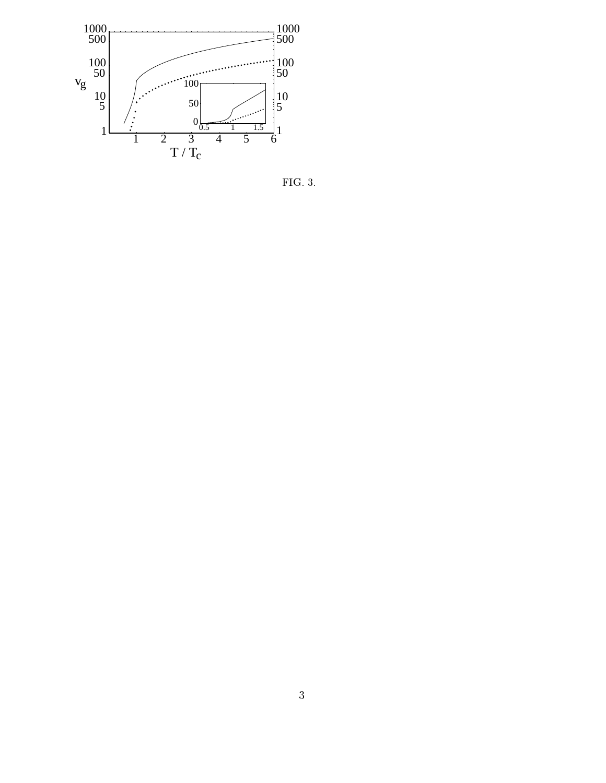

FIG. 3.